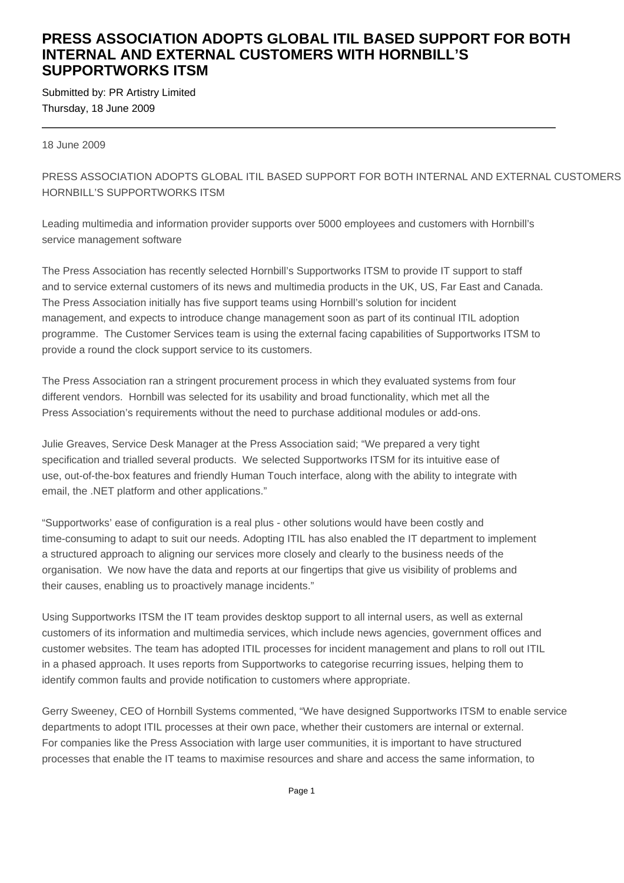## **PRESS ASSOCIATION ADOPTS GLOBAL ITIL BASED SUPPORT FOR BOTH INTERNAL AND EXTERNAL CUSTOMERS WITH HORNBILL'S SUPPORTWORKS ITSM**

Submitted by: PR Artistry Limited Thursday, 18 June 2009

18 June 2009

PRESS ASSOCIATION ADOPTS GLOBAL ITIL BASED SUPPORT FOR BOTH INTERNAL AND EXTERNAL CUSTOMERS HORNBILL'S SUPPORTWORKS ITSM

Leading multimedia and information provider supports over 5000 employees and customers with Hornbill's service management software

The Press Association has recently selected Hornbill's Supportworks ITSM to provide IT support to staff and to service external customers of its news and multimedia products in the UK, US, Far East and Canada. The Press Association initially has five support teams using Hornbill's solution for incident management, and expects to introduce change management soon as part of its continual ITIL adoption programme. The Customer Services team is using the external facing capabilities of Supportworks ITSM to provide a round the clock support service to its customers.

The Press Association ran a stringent procurement process in which they evaluated systems from four different vendors. Hornbill was selected for its usability and broad functionality, which met all the Press Association's requirements without the need to purchase additional modules or add-ons.

Julie Greaves, Service Desk Manager at the Press Association said; "We prepared a very tight specification and trialled several products. We selected Supportworks ITSM for its intuitive ease of use, out-of-the-box features and friendly Human Touch interface, along with the ability to integrate with email, the .NET platform and other applications."

"Supportworks' ease of configuration is a real plus - other solutions would have been costly and time-consuming to adapt to suit our needs. Adopting ITIL has also enabled the IT department to implement a structured approach to aligning our services more closely and clearly to the business needs of the organisation. We now have the data and reports at our fingertips that give us visibility of problems and their causes, enabling us to proactively manage incidents."

Using Supportworks ITSM the IT team provides desktop support to all internal users, as well as external customers of its information and multimedia services, which include news agencies, government offices and customer websites. The team has adopted ITIL processes for incident management and plans to roll out ITIL in a phased approach. It uses reports from Supportworks to categorise recurring issues, helping them to identify common faults and provide notification to customers where appropriate.

Gerry Sweeney, CEO of Hornbill Systems commented, "We have designed Supportworks ITSM to enable service departments to adopt ITIL processes at their own pace, whether their customers are internal or external. For companies like the Press Association with large user communities, it is important to have structured processes that enable the IT teams to maximise resources and share and access the same information, to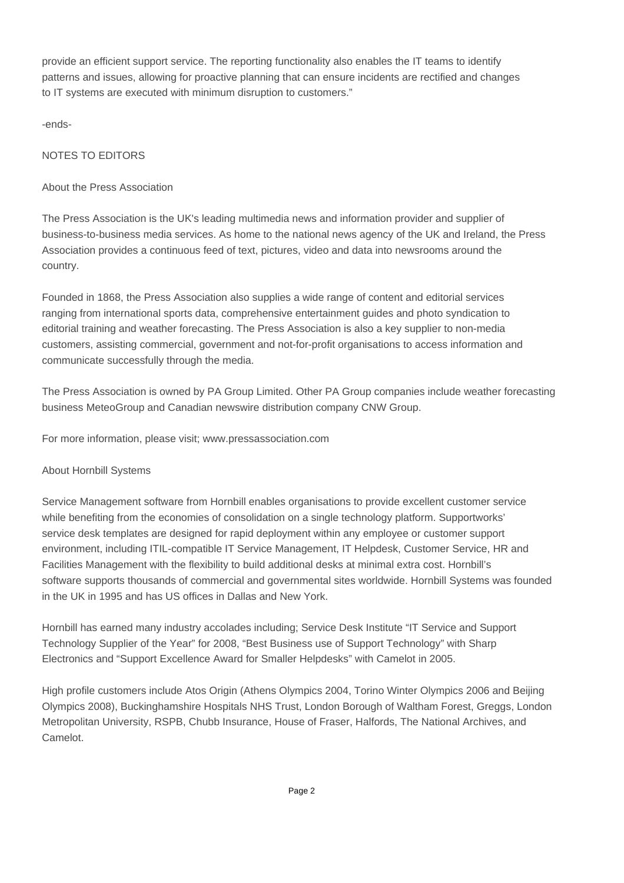provide an efficient support service. The reporting functionality also enables the IT teams to identify patterns and issues, allowing for proactive planning that can ensure incidents are rectified and changes to IT systems are executed with minimum disruption to customers."

-ends-

### NOTES TO EDITORS

#### About the Press Association

The Press Association is the UK's leading multimedia news and information provider and supplier of business-to-business media services. As home to the national news agency of the UK and Ireland, the Press Association provides a continuous feed of text, pictures, video and data into newsrooms around the country.

Founded in 1868, the Press Association also supplies a wide range of content and editorial services ranging from international sports data, comprehensive entertainment guides and photo syndication to editorial training and weather forecasting. The Press Association is also a key supplier to non-media customers, assisting commercial, government and not-for-profit organisations to access information and communicate successfully through the media.

The Press Association is owned by PA Group Limited. Other PA Group companies include weather forecasting business MeteoGroup and Canadian newswire distribution company CNW Group.

For more information, please visit; www.pressassociation.com

#### About Hornbill Systems

Service Management software from Hornbill enables organisations to provide excellent customer service while benefiting from the economies of consolidation on a single technology platform. Supportworks' service desk templates are designed for rapid deployment within any employee or customer support environment, including ITIL-compatible IT Service Management, IT Helpdesk, Customer Service, HR and Facilities Management with the flexibility to build additional desks at minimal extra cost. Hornbill's software supports thousands of commercial and governmental sites worldwide. Hornbill Systems was founded in the UK in 1995 and has US offices in Dallas and New York.

Hornbill has earned many industry accolades including; Service Desk Institute "IT Service and Support Technology Supplier of the Year" for 2008, "Best Business use of Support Technology" with Sharp Electronics and "Support Excellence Award for Smaller Helpdesks" with Camelot in 2005.

High profile customers include Atos Origin (Athens Olympics 2004, Torino Winter Olympics 2006 and Beijing Olympics 2008), Buckinghamshire Hospitals NHS Trust, London Borough of Waltham Forest, Greggs, London Metropolitan University, RSPB, Chubb Insurance, House of Fraser, Halfords, The National Archives, and Camelot.